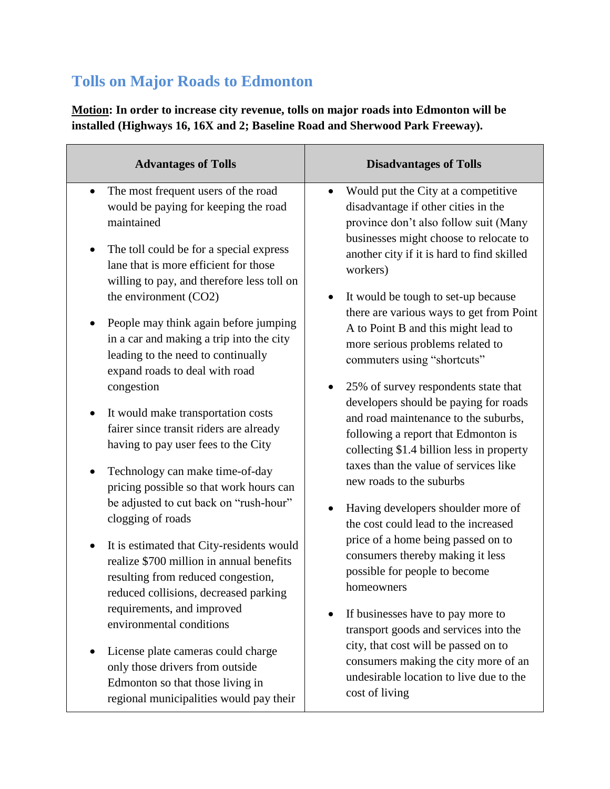## **Tolls on Major Roads to Edmonton**

**Motion: In order to increase city revenue, tolls on major roads into Edmonton will be installed (Highways 16, 16X and 2; Baseline Road and Sherwood Park Freeway).** 

| <b>Advantages of Tolls</b>                                                                                                                                                                                                                            | <b>Disadvantages of Tolls</b>                                                                                                                                                                                                                                                                                                                                                                                                                                                         |
|-------------------------------------------------------------------------------------------------------------------------------------------------------------------------------------------------------------------------------------------------------|---------------------------------------------------------------------------------------------------------------------------------------------------------------------------------------------------------------------------------------------------------------------------------------------------------------------------------------------------------------------------------------------------------------------------------------------------------------------------------------|
| The most frequent users of the road<br>$\bullet$<br>would be paying for keeping the road<br>maintained<br>The toll could be for a special express<br>$\bullet$<br>lane that is more efficient for those<br>willing to pay, and therefore less toll on | Would put the City at a competitive<br>$\bullet$<br>disadvantage if other cities in the<br>province don't also follow suit (Many<br>businesses might choose to relocate to<br>another city if it is hard to find skilled<br>workers)                                                                                                                                                                                                                                                  |
| the environment (CO2)<br>People may think again before jumping<br>in a car and making a trip into the city<br>leading to the need to continually<br>expand roads to deal with road                                                                    | It would be tough to set-up because<br>there are various ways to get from Point<br>A to Point B and this might lead to<br>more serious problems related to<br>commuters using "shortcuts"                                                                                                                                                                                                                                                                                             |
| congestion<br>It would make transportation costs<br>$\bullet$<br>fairer since transit riders are already<br>having to pay user fees to the City<br>Technology can make time-of-day<br>pricing possible so that work hours can                         | 25% of survey respondents state that<br>developers should be paying for roads<br>and road maintenance to the suburbs,<br>following a report that Edmonton is<br>collecting \$1.4 billion less in property<br>taxes than the value of services like<br>new roads to the suburbs<br>Having developers shoulder more of<br>the cost could lead to the increased<br>price of a home being passed on to<br>consumers thereby making it less<br>possible for people to become<br>homeowners |
| be adjusted to cut back on "rush-hour"<br>clogging of roads<br>It is estimated that City-residents would<br>$\bullet$<br>realize \$700 million in annual benefits<br>resulting from reduced congestion,<br>reduced collisions, decreased parking      |                                                                                                                                                                                                                                                                                                                                                                                                                                                                                       |
| requirements, and improved<br>environmental conditions<br>License plate cameras could charge<br>only those drivers from outside<br>Edmonton so that those living in<br>regional municipalities would pay their                                        | If businesses have to pay more to<br>transport goods and services into the<br>city, that cost will be passed on to<br>consumers making the city more of an<br>undesirable location to live due to the<br>cost of living                                                                                                                                                                                                                                                               |